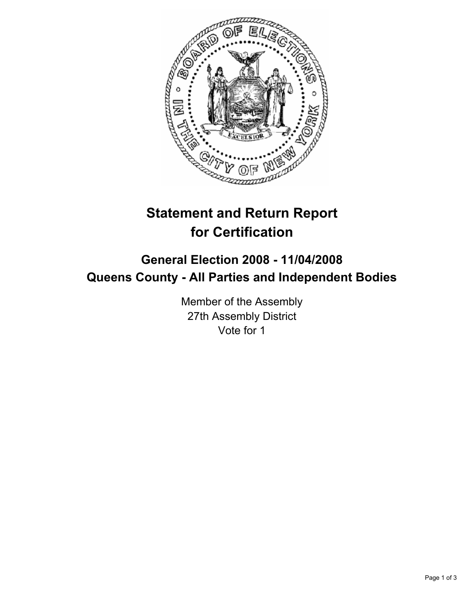

# **Statement and Return Report for Certification**

## **General Election 2008 - 11/04/2008 Queens County - All Parties and Independent Bodies**

Member of the Assembly 27th Assembly District Vote for 1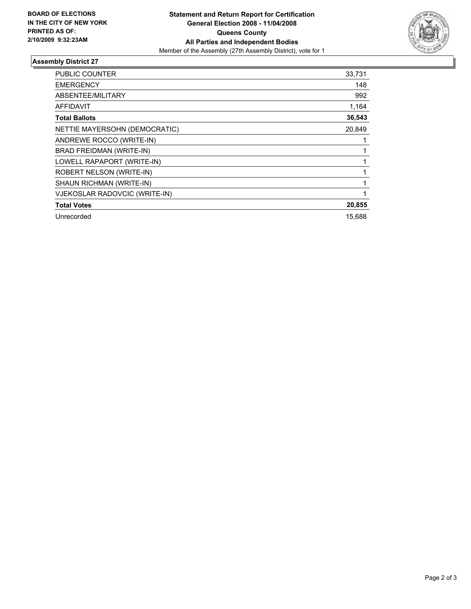

## **Assembly District 27**

| <b>PUBLIC COUNTER</b>         | 33,731 |
|-------------------------------|--------|
| <b>EMERGENCY</b>              | 148    |
| ABSENTEE/MILITARY             | 992    |
| AFFIDAVIT                     | 1,164  |
| <b>Total Ballots</b>          | 36,543 |
| NETTIE MAYERSOHN (DEMOCRATIC) | 20,849 |
| ANDREWE ROCCO (WRITE-IN)      |        |
| BRAD FREIDMAN (WRITE-IN)      |        |
| LOWELL RAPAPORT (WRITE-IN)    |        |
| ROBERT NELSON (WRITE-IN)      |        |
| SHAUN RICHMAN (WRITE-IN)      |        |
| VJEKOSLAR RADOVCIC (WRITE-IN) |        |
| <b>Total Votes</b>            | 20,855 |
| Unrecorded                    | 15,688 |